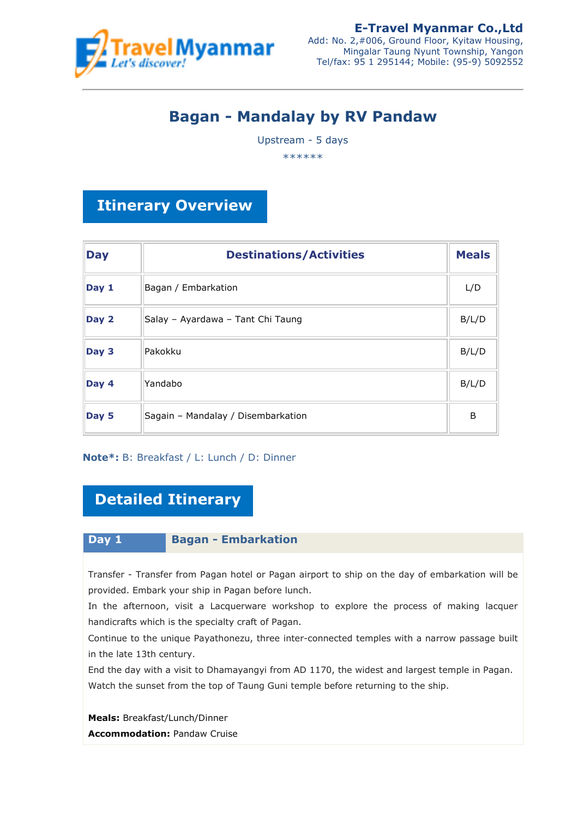

# **Bagan - Mandalay by RV Pandaw**

Upstream - 5 days

\*\*\*\*\*\*

## **Itinerary Overview**

| <b>Day</b> | <b>Destinations/Activities</b>     | <b>Meals</b> |
|------------|------------------------------------|--------------|
| Day 1      | Bagan / Embarkation                | L/D          |
| Day 2      | Salay - Ayardawa - Tant Chi Taung  | B/L/D        |
| Day 3      | Pakokku                            | B/L/D        |
| Day 4      | Yandabo                            | B/L/D        |
| Day 5      | Sagain - Mandalay / Disembarkation | B            |

### **Note\*:** B: Breakfast / L: Lunch / D: Dinner

## **Detailed Itinerary**

### **Day 1 Bagan - Embarkation**

Transfer - Transfer from Pagan hotel or Pagan airport to ship on the day of embarkation will be provided. Embark your ship in Pagan before lunch.

In the afternoon, visit a Lacquerware workshop to explore the process of making lacquer handicrafts which is the specialty craft of Pagan.

Continue to the unique Payathonezu, three inter-connected temples with a narrow passage built in the late 13th century.

End the day with a visit to Dhamayangyi from AD 1170, the widest and largest temple in Pagan. Watch the sunset from the top of Taung Guni temple before returning to the ship.

**Meals:** Breakfast/Lunch/Dinner **Accommodation: Pandaw Cruise**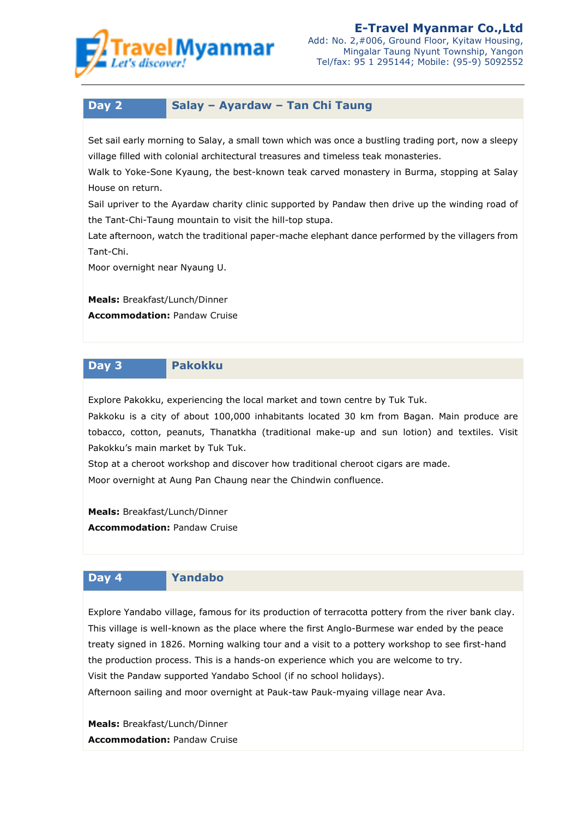

## **Day 2 Salay – Ayardaw – Tan Chi Taung**

Set sail early morning to Salay, a small town which was once a bustling trading port, now a sleepy village filled with colonial architectural treasures and timeless teak monasteries.

Walk to Yoke-Sone Kyaung, the best-known teak carved monastery in Burma, stopping at Salay House on return.

Sail upriver to the Ayardaw charity clinic supported by Pandaw then drive up the winding road of the Tant-Chi-Taung mountain to visit the hill-top stupa.

Late afternoon, watch the traditional paper-mache elephant dance performed by the villagers from Tant-Chi.

Moor overnight near Nyaung U.

**Meals:** Breakfast/Lunch/Dinner **Accommodation:** Pandaw Cruise

#### **Day 3 Pakokku**

Explore Pakokku, experiencing the local market and town centre by Tuk Tuk.

Pakkoku is a city of about 100,000 inhabitants located 30 km from Bagan. Main produce are tobacco, cotton, peanuts, Thanatkha (traditional make-up and sun lotion) and textiles. Visit Pakokku's main market by Tuk Tuk.

Stop at a cheroot workshop and discover how traditional cheroot cigars are made. Moor overnight at Aung Pan Chaung near the Chindwin confluence.

**Meals:** Breakfast/Lunch/Dinner **Accommodation: Pandaw Cruise** 

#### **Day 4 Yandabo**

Explore Yandabo village, famous for its production of terracotta pottery from the river bank clay. This village is well-known as the place where the first Anglo-Burmese war ended by the peace treaty signed in 1826. Morning walking tour and a visit to a pottery workshop to see first-hand the production process. This is a hands-on experience which you are welcome to try. Visit the Pandaw supported Yandabo School (if no school holidays).

Afternoon sailing and moor overnight at Pauk-taw Pauk-myaing village near Ava.

**Meals:** Breakfast/Lunch/Dinner **Accommodation:** Pandaw Cruise